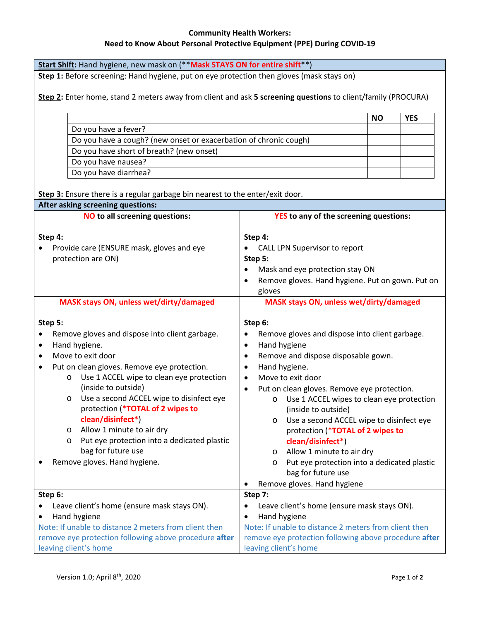# **Community Health Workers: Need to Know About Personal Protective Equipment (PPE) During COVID-19**

| Start Shift: Hand hygiene, new mask on (** Mask STAYS ON for entire shift**)                                       |                                                               |
|--------------------------------------------------------------------------------------------------------------------|---------------------------------------------------------------|
| Step 1: Before screening: Hand hygiene, put on eye protection then gloves (mask stays on)                          |                                                               |
|                                                                                                                    |                                                               |
| Step 2: Enter home, stand 2 meters away from client and ask 5 screening questions to client/family (PROCURA)       |                                                               |
|                                                                                                                    |                                                               |
|                                                                                                                    | <b>YES</b><br><b>NO</b>                                       |
| Do you have a fever?                                                                                               |                                                               |
| Do you have a cough? (new onset or exacerbation of chronic cough)                                                  |                                                               |
| Do you have short of breath? (new onset)                                                                           |                                                               |
| Do you have nausea?                                                                                                |                                                               |
| Do you have diarrhea?                                                                                              |                                                               |
|                                                                                                                    |                                                               |
| Step 3: Ensure there is a regular garbage bin nearest to the enter/exit door.<br>After asking screening questions: |                                                               |
| <b>NO</b> to all screening questions:                                                                              | <b>YES</b> to any of the screening questions:                 |
|                                                                                                                    |                                                               |
| Step 4:                                                                                                            | Step 4:                                                       |
| Provide care (ENSURE mask, gloves and eye                                                                          | CALL LPN Supervisor to report                                 |
| protection are ON)                                                                                                 | Step 5:                                                       |
|                                                                                                                    | Mask and eye protection stay ON<br>$\bullet$                  |
|                                                                                                                    | Remove gloves. Hand hygiene. Put on gown. Put on<br>$\bullet$ |
|                                                                                                                    | gloves                                                        |
| MASK stays ON, unless wet/dirty/damaged                                                                            | MASK stays ON, unless wet/dirty/damaged                       |
|                                                                                                                    |                                                               |
| Step 5:                                                                                                            | Step 6:                                                       |
| Remove gloves and dispose into client garbage.                                                                     | Remove gloves and dispose into client garbage.<br>٠           |
| Hand hygiene.<br>$\bullet$                                                                                         | Hand hygiene<br>$\bullet$                                     |
| Move to exit door                                                                                                  | Remove and dispose disposable gown.<br>$\bullet$              |
| Put on clean gloves. Remove eye protection.                                                                        | Hand hygiene.<br>$\bullet$                                    |
| Use 1 ACCEL wipe to clean eye protection<br>O                                                                      | Move to exit door<br>$\bullet$                                |
| (inside to outside)                                                                                                | Put on clean gloves. Remove eye protection.<br>$\bullet$      |
| Use a second ACCEL wipe to disinfect eye<br>O                                                                      | o Use 1 ACCEL wipes to clean eye protection                   |
| protection (*TOTAL of 2 wipes to                                                                                   | (inside to outside)                                           |
| clean/disinfect*)                                                                                                  | Use a second ACCEL wipe to disinfect eye<br>O                 |
| Allow 1 minute to air dry<br>$\circ$                                                                               | protection (*TOTAL of 2 wipes to                              |
| Put eye protection into a dedicated plastic<br>O                                                                   | clean/disinfect*)                                             |
| bag for future use                                                                                                 | Allow 1 minute to air dry<br>$\circ$                          |
| Remove gloves. Hand hygiene.                                                                                       | Put eye protection into a dedicated plastic<br>$\circ$        |
|                                                                                                                    | bag for future use                                            |
|                                                                                                                    | Remove gloves. Hand hygiene                                   |
| Step 6:                                                                                                            | Step 7:                                                       |
| Leave client's home (ensure mask stays ON).                                                                        | Leave client's home (ensure mask stays ON).                   |
| Hand hygiene                                                                                                       | Hand hygiene                                                  |
| Note: If unable to distance 2 meters from client then                                                              | Note: If unable to distance 2 meters from client then         |
| remove eye protection following above procedure after                                                              | remove eye protection following above procedure after         |
| leaving client's home                                                                                              | leaving client's home                                         |